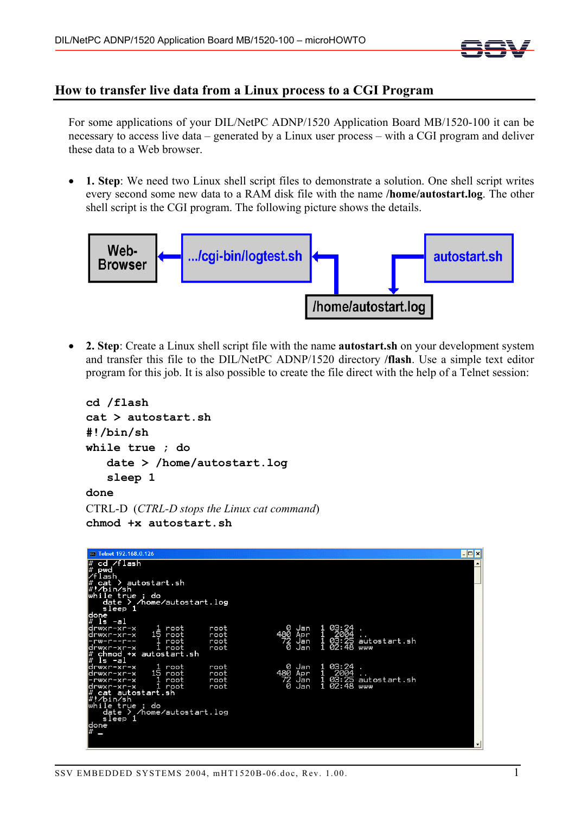

## **How to transfer live data from a Linux process to a CGI Program**

For some applications of your DIL/NetPC ADNP/1520 Application Board MB/1520-100 it can be necessary to access live data – generated by a Linux user process – with a CGI program and deliver these data to a Web browser.

• **1. Step**: We need two Linux shell script files to demonstrate a solution. One shell script writes every second some new data to a RAM disk file with the name **/home/autostart.log**. The other shell script is the CGI program. The following picture shows the details.



• **2. Step**: Create a Linux shell script file with the name **autostart.sh** on your development system and transfer this file to the DIL/NetPC ADNP/1520 directory **/flash**. Use a simple text editor program for this job. It is also possible to create the file direct with the help of a Telnet session:

```
cd /flash 
cat > autostart.sh 
#!/bin/sh 
while true ; do 
    date > /home/autostart.log 
    sleep 1 
done
```

```
CTRL-D (CTRL-D stops the Linux cat command) 
chmod +x autostart.sh
```

| <b>ex</b> Telnet 192.168.0.126           |      |                |                     |                    |                          |
|------------------------------------------|------|----------------|---------------------|--------------------|--------------------------|
|                                          |      |                |                     |                    | –  □ ×                   |
| cd /flash                                |      |                |                     |                    |                          |
| l#<br>pwc                                |      |                |                     |                    |                          |
| lash                                     |      |                |                     |                    |                          |
| ) autostart.sh<br>cat                    |      |                |                     |                    |                          |
| ⁄bin⁄sh                                  |      |                |                     |                    |                          |
| while true ; do                          |      |                |                     |                    |                          |
| date ><br>/home/autostart.log<br>sleep 1 |      |                |                     |                    |                          |
| ldone                                    |      |                |                     |                    |                          |
| l#<br>ls -al                             |      |                |                     |                    |                          |
| root<br>ldrwxr-xr-x<br>ı.                | root | Ø<br>Jan       | 03:24               |                    |                          |
| 15<br>root<br>drwxr-xr-x                 | root | 480<br>Apr     | 2004                |                    |                          |
| root<br><u>-rw-r--r--</u>                | root | 72<br>Jan      |                     | 03:25 autostart.sh |                          |
| root<br>ldrwxr-xr-x                      | root | Ø<br>Jan       | 1<br>02:48          | www                |                          |
| chmod +x autostart.sh                    |      |                |                     |                    |                          |
| ls -al                                   |      |                |                     |                    |                          |
| 1 root<br>ldrwxr-xr-x                    | root | Ø<br>Jan       | 03:24               |                    |                          |
| 15<br>ldrwxr-xr-x<br>root                | root | 480<br>Apr     | ]<br>]<br>1<br>2004 |                    |                          |
| 1<br>root<br>rwxr-xr-x                   | root | 72<br>0<br>Jan | 03:25               | autostart.sh       |                          |
| drwxr-xr-x<br>root                       | root | Jan            | 1<br>02:48          | www                |                          |
| cat autostart.sh                         |      |                |                     |                    |                          |
| #!/bin/sh<br>true<br>do<br>lwhile<br>۰   |      |                |                     |                    |                          |
| /home/autostart.log<br>date<br>→         |      |                |                     |                    |                          |
| sleep 1                                  |      |                |                     |                    |                          |
|                                          |      |                |                     |                    |                          |
| done<br>#<br>−                           |      |                |                     |                    |                          |
|                                          |      |                |                     |                    |                          |
|                                          |      |                |                     |                    | $\overline{\phantom{a}}$ |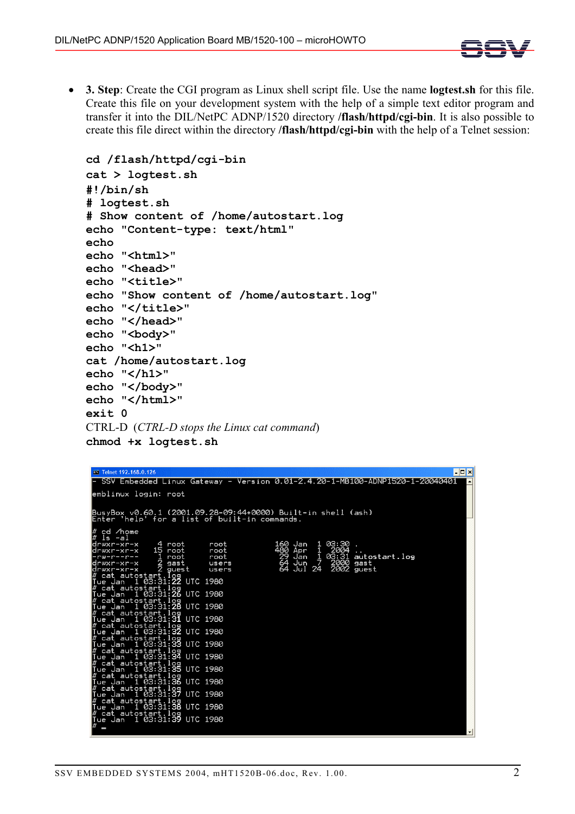

• **3. Step**: Create the CGI program as Linux shell script file. Use the name **logtest.sh** for this file. Create this file on your development system with the help of a simple text editor program and transfer it into the DIL/NetPC ADNP/1520 directory **/flash/httpd/cgi-bin**. It is also possible to create this file direct within the directory **/flash/httpd/cgi-bin** with the help of a Telnet session:

```
cd /flash/httpd/cgi-bin 
cat > logtest.sh 
#!/bin/sh 
# logtest.sh 
# Show content of /home/autostart.log 
echo "Content-type: text/html" 
echo 
echo "<html>" 
echo "<head>"
echo "<title>" 
echo "Show content of /home/autostart.log" 
echo "</title>"
echo "</head>" 
echo "<br/>body>"
echo "<h1>" 
cat /home/autostart.log 
echo "</h1>" 
echo "</body>" 
echo "</html>" 
exit 0
CTRL-D (CTRL-D stops the Linux cat command) 
chmod +x logtest.sh
```

| l-⊡ × <br><b>ex</b> Telnet 192.168.0.126                                                                                                                                                                                                                                                                                                                                                                                                                                                                                                                                                                                                                                                                                                                                                                                                                                          |         |
|-----------------------------------------------------------------------------------------------------------------------------------------------------------------------------------------------------------------------------------------------------------------------------------------------------------------------------------------------------------------------------------------------------------------------------------------------------------------------------------------------------------------------------------------------------------------------------------------------------------------------------------------------------------------------------------------------------------------------------------------------------------------------------------------------------------------------------------------------------------------------------------|---------|
| SSV Embedded Linux Gateway - Version 0.01-2.4.20-1-MB100- <u>ADNP1520-1-20040401</u>                                                                                                                                                                                                                                                                                                                                                                                                                                                                                                                                                                                                                                                                                                                                                                                              |         |
| emblinux login: root                                                                                                                                                                                                                                                                                                                                                                                                                                                                                                                                                                                                                                                                                                                                                                                                                                                              |         |
| BusyBox v0.60.1 (2001.09.28-09:44+0000) Built <u>-in shell (ash)</u><br>Enter 'help' for a list of built-in commands.                                                                                                                                                                                                                                                                                                                                                                                                                                                                                                                                                                                                                                                                                                                                                             |         |
| ∦ cd ⁄home<br>ls -al<br>160 Jan<br>03:30<br>4 root<br>drwxr-xr-x<br>root<br>480<br>15 root<br>Apr<br>2004<br>drwxr-xr-x<br>root<br>29<br>64<br>64<br>Jan<br>$\frac{1}{7}$<br>03:31 autostart.log<br>ı<br>root<br>root<br>ーrwーrーーrーー<br>$\frac{2}{2}$ gast<br>Jun<br>2000<br>gast<br>drwxr-xr-x<br>users<br>2002 guest<br>24<br>Jul<br>drwxr-xr-x<br>users<br>cat autostart.log<br>1 03:31: <b>22</b> UTC 1980<br>Tue Jan<br>cat autostart.log<br>ue Jan  1 03:31: <b>26</b> UTC 1980<br>Tue Jan<br>cat autostart.log<br>1 03:31:28 UTC 1980<br>Jan<br>l ue<br>cat autostart.log<br>ue Jan  1 03:31:31 UTC 1980<br>Tue Jan<br>cat autostart.log<br>ue Jan  1 03:31: <b>32</b> UTC 1980<br>Tue Jan<br>cat autostart.log<br>1 03:31:33 UTC 1980<br>Tue Jan<br>cat autostart.log<br>ue Jan  1 03:31:34 UTC 1980<br>Tue Jan<br>cat autostart.log<br>1 03:31:35 UTC 1980<br>Jan<br>l ue |         |
| cat autostart.log<br>ue Jan  1 03:31:36 UTC 1980<br>Tue Jan                                                                                                                                                                                                                                                                                                                                                                                                                                                                                                                                                                                                                                                                                                                                                                                                                       |         |
| <u>cat autostart.log</u><br>UTC 1980<br>1 03:31:37<br>Jan<br>ll ue                                                                                                                                                                                                                                                                                                                                                                                                                                                                                                                                                                                                                                                                                                                                                                                                                |         |
| cat autostart.log<br>ue Jan  1 03:31:38 UTC 1980<br>l ue                                                                                                                                                                                                                                                                                                                                                                                                                                                                                                                                                                                                                                                                                                                                                                                                                          |         |
| cat autostart.log<br>ue Jan  1 03:31:39<br>UTC<br>1980<br>lTue Jan                                                                                                                                                                                                                                                                                                                                                                                                                                                                                                                                                                                                                                                                                                                                                                                                                | $\vert$ |